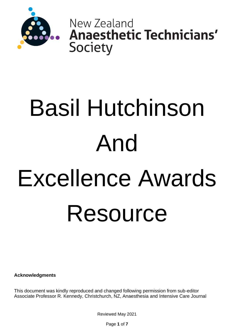

New Zealand **Anaesthetic Technicians'** Society

# Basil Hutchinson And Excellence Awards Resource

**Acknowledgments**

This document was kindly reproduced and changed following permission from sub-editor Associate Professor R. Kennedy, Christchurch, NZ, Anaesthesia and Intensive Care Journal

Reviewed May 2021

Page **1** of **7**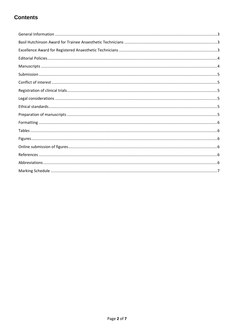# **Contents**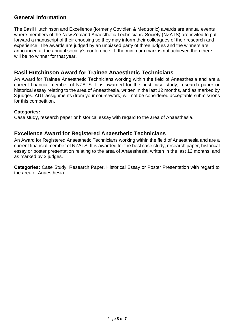#### <span id="page-2-0"></span>**General Information**

The Basil Hutchinson and Excellence (formerly Covidien & Medtronic) awards are annual events where members of the New Zealand Anaesthetic Technicians' Society (NZATS) are invited to put forward a manuscript of their choosing so they may inform their colleagues of their research and experience. The awards are judged by an unbiased party of three judges and the winners are announced at the annual society's conference. If the minimum mark is not achieved then there will be no winner for that year.

#### <span id="page-2-1"></span>**Basil Hutchinson Award for Trainee Anaesthetic Technicians**

An Award for Trainee Anaesthetic Technicians working within the field of Anaesthesia and are a current financial member of NZATS. It is awarded for the best case study, research paper or historical essay relating to the area of Anaesthesia, written in the last 12 months, and as marked by 3 judges. AUT assignments (from your coursework) will not be considered acceptable submissions for this competition.

#### **Categories:**

Case study, research paper or historical essay with regard to the area of Anaesthesia.

#### <span id="page-2-2"></span>**Excellence Award for Registered Anaesthetic Technicians**

An Award for Registered Anaesthetic Technicians working within the field of Anaesthesia and are a current financial member of NZATS. It is awarded for the best case study, research paper, historical essay or poster presentation relating to the area of Anaesthesia, written in the last 12 months, and as marked by 3 judges.

**Categories:** Case Study, Research Paper, Historical Essay or Poster Presentation with regard to the area of Anaesthesia.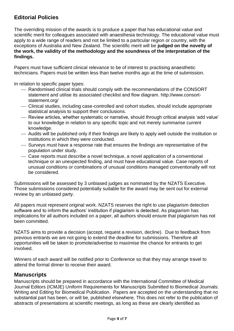# <span id="page-3-0"></span>**Editorial Policies**

The overriding mission of the awards is to produce a paper that has educational value and scientific merit for colleagues associated with anaesthesia technology. The educational value must apply to a wide range of readers and not be limited to a particular region or country, with the exceptions of Australia and New Zealand. The scientific merit will be **judged on the novelty of the work, the validity of the methodology and the soundness of the interpretation of the findings.** 

Papers must have sufficient clinical relevance to be of interest to practising anaesthetic technicians. Papers must be written less than twelve months ago at the time of submission.

In relation to specific paper types:

- $-$  Randomised clinical trials should comply with the recommendations of the CONSORT statement and utilise its [associated checklist and flow diagram.](http://www.consort-statement.org/) http://www.consortstatement.org/
- ⎯ Clinical studies, including case-controlled and cohort studies, should include appropriate statistical analysis to support their conclusions.
- ⎯ Review articles, whether systematic or narrative, should through critical analysis 'add value' to our knowledge in relation to any specific topic and not merely summarise current knowledge.
- ⎯ Audits will be published only if their findings are likely to apply well outside the institution or institutions in which they were conducted.
- ⎯ Surveys must have a response rate that ensures the findings are representative of the population under study.
- ⎯ Case reports must describe a novel technique, a novel application of a conventional technique or an unexpected finding, and must have educational value. Case reports of unusual conditions or combinations of unusual conditions managed conventionally will not be considered.

Submissions will be assessed by 3 unbiased judges as nominated by the NZATS Executive. Those submissions considered potentially suitable for the award may be sent out for external review by an unbiased party.

All papers must represent original work. NZATS reserves the right to use plagiarism detection software and to inform the authors' institution if plagiarism is detected. As plagiarism has implications for all authors included on a paper, all authors should ensure that plagiarism has not been committed.

NZATS aims to provide a decision (accept, request a revision, decline). Due to feedback from previous entrants we are not going to extend the deadline for submissions. Therefore all opportunities will be taken to promote/advertise to maximise the chance for entrants to get involved.

Winners of each award will be notified prior to Conference so that they may arrange travel to attend the formal dinner to receive their award.

#### <span id="page-3-1"></span>**Manuscripts**

Manuscripts should be prepared in accordance with the [International Committee of Medical](http://www.icmje.org/index.html)  [Journal Editors \(ICMJE\) Uniform Requirements for Manuscripts Submitted to Biomedical Journals:](http://www.icmje.org/index.html)  [Writing and Editing for Biomedical Publication.](http://www.icmje.org/index.html) Papers are accepted on the understanding that no substantial part has been, or will be, published elsewhere. This does not refer to the publication of abstracts of presentations at scientific meetings, as long as these are clearly identified as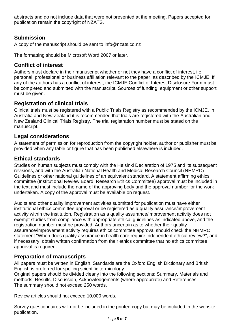abstracts and do not include data that were not presented at the meeting. Papers accepted for publication remain the copyright of NZATS.

# <span id="page-4-0"></span>**Submission**

A copy of the manuscript should be sent to info@nzats.co.nz

The formatting should be Microsoft Word 2007 or later.

# <span id="page-4-1"></span>**Conflict of interest**

Authors must declare in their manuscript whether or not they have a conflict of interest, i.e. personal, professional or business affiliation relevant to the paper, as described by the [ICMJE.](http://www.icmje.org/ethical_4conflicts.html) If any of the authors has a conflict of interest, the ICMJE [Conflict of Interest Disclosure Form](http://www.icmje.org/coi_disclosure.pdf) must be completed and submitted with the manuscript. Sources of funding, equipment or other support must be given.

## <span id="page-4-2"></span>**Registration of clinical trials**

Clinical trials must be registered with a Public Trials Registry as [recommended by the ICMJE.](http://www.icmje.org/publishing_10register.html) In Australia and New Zealand it is recommended that trials are registered with the [Australian and](http://www.anzctr.org.au/)  [New Zealand Clinical Trials Registry.](http://www.anzctr.org.au/) The trial registration number must be stated on the manuscript.

#### <span id="page-4-3"></span>**Legal considerations**

A statement of permission for reproduction from the copyright holder, author or publisher must be provided when any table or figure that has been published elsewhere is included.

#### <span id="page-4-4"></span>**Ethical standards**

Studies on human subjects must comply with the Helsinki Declaration of 1975 and its subsequent revisions, and with the [Australian National Health and Medical Research Council \(NHMRC\)](http://www.nhmrc.gov.au/guidelines/ethics/human_research/index.htm#eth)  [Guidelines](http://www.nhmrc.gov.au/guidelines/ethics/human_research/index.htm#eth) or other national guidelines of an equivalent standard. A statement affirming ethics committee (Institutional Review Board, Research Ethics Committee) approval must be included in the text and must include the name of the approving body and the approval number for the work undertaken. A copy of the approval must be available on request.

Audits and other quality improvement activities submitted for publication must have either institutional ethics committee approval or be registered as a quality assurance/improvement activity within the institution. Registration as a quality assurance/improvement activity does not exempt studies from compliance with appropriate ethical guidelines as indicated above, and the registration number must be provided. Authors uncertain as to whether their quality assurance/improvement activity requires ethics committee approval should check the NHMRC statement ["When does quality assurance in health care require independent ethical review?",](http://www.nhmrc.gov.au/_files_nhmrc/file/health_ethics/human/conduct/guidelines/e46.pdf) and if necessary, obtain written confirmation from their ethics committee that no ethics committee approval is required.

#### <span id="page-4-5"></span>**Preparation of manuscripts**

All papers must be written in English. Standards are the Oxford English Dictionary and British English is preferred for spelling scientific terminology.

Original papers should be divided clearly into the following sections: Summary, Materials and methods, Results, Discussion, Acknowledgements (where appropriate) and References. The summary should not exceed 250 words.

Review articles should not exceed 10,000 words.

Survey questionnaires will not be included in the printed copy but may be included in the website publication.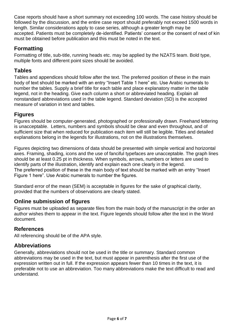Case reports should have a short summary not exceeding 100 words. The case history should be followed by the discussion, and the entire case report should preferably not exceed 1500 words in length. Similar considerations apply to case series, although a greater length may be accepted. Patients must be completely de-identified. Patients' consent or the consent of next of kin must be obtained before publication and this must be noted in the text.

# <span id="page-5-0"></span>**Formatting**

Formatting of title, sub-title, running heads etc. may be applied by the NZATS team. Bold type, multiple fonts and different point sizes should be avoided.

#### <span id="page-5-1"></span>**Tables**

Tables and appendices should follow after the text. The preferred position of these in the main body of text should be marked with an entry "Insert Table 1 here" etc. Use Arabic numerals to number the tables. Supply a brief title for each table and place explanatory matter in the table legend, not in the heading. Give each column a short or abbreviated heading. Explain all nonstandard abbreviations used in the table legend. Standard deviation (SD) is the accepted measure of variation in text and tables.

## <span id="page-5-2"></span>**Figures**

Figures should be computer-generated, photographed or professionally drawn. Freehand lettering is unacceptable. Letters, numbers and symbols should be clear and even throughout, and of sufficient size that when reduced for publication each item will still be legible. Titles and detailed explanations belong in the legends for illustrations, not on the illustrations themselves.

Figures depicting two dimensions of data should be presented with simple vertical and horizontal axes. Framing, shading, icons and the use of fanciful typefaces are unacceptable. The graph lines should be at least 0.25 pt in thickness. When symbols, arrows, numbers or letters are used to identify parts of the illustration, identify and explain each one clearly in the legend. The preferred position of these in the main body of text should be marked with an entry "Insert Figure 1 here". Use Arabic numerals to number the figures.

Standard error of the mean (SEM) is acceptable in figures for the sake of graphical clarity, provided that the numbers of observations are clearly stated.

# <span id="page-5-3"></span>**Online submission of figures**

Figures must be uploaded as separate files from the main body of the manuscript in the order an author wishes them to appear in the text. Figure legends should follow after the text in the Word document.

#### <span id="page-5-4"></span>**References**

All referencing should be of the APA style.

#### <span id="page-5-5"></span>**Abbreviations**

Generally, abbreviations should not be used in the title or summary. Standard common abbreviations may be used in the text, but must appear in parenthesis after the first use of the expression written out in full. If the expression appears fewer than 10 times in the text, it is preferable not to use an abbreviation. Too many abbreviations make the text difficult to read and understand.